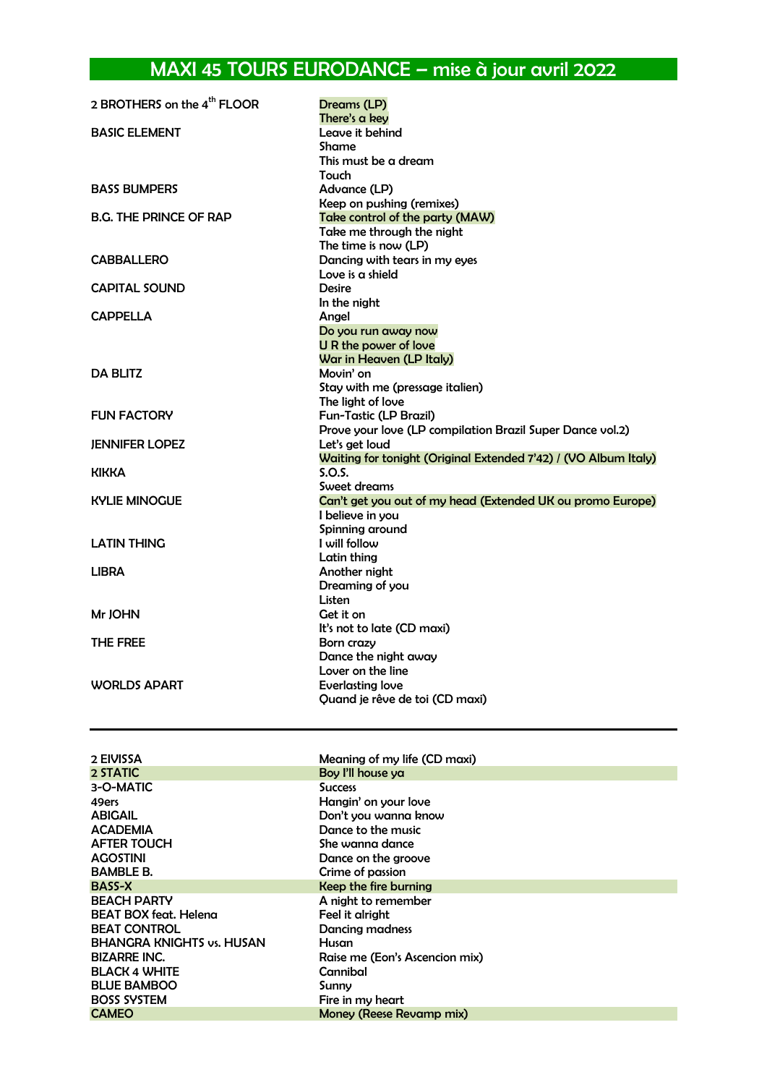## MAXI 45 TOURS EURODANCE – mise à jour avril 2022

| 2 BROTHERS on the 4 <sup>th</sup> FLOOR | Dreams (LP)<br>There's a key                                                                   |
|-----------------------------------------|------------------------------------------------------------------------------------------------|
| <b>BASIC ELEMENT</b>                    | Leave it behind<br>Shame<br>This must be a dream<br>Touch                                      |
| <b>BASS BUMPERS</b>                     | Advance (LP)<br>Keep on pushing (remixes)                                                      |
| <b>B.G. THE PRINCE OF RAP</b>           | Take control of the party (MAW)<br>Take me through the night<br>The time is now (LP)           |
| <b>CABBALLERO</b>                       | Dancing with tears in my eyes<br>Love is a shield                                              |
| <b>CAPITAL SOUND</b>                    | <b>Desire</b><br>In the night                                                                  |
| <b>CAPPELLA</b>                         | Angel<br>Do you run away now<br><b>U R the power of love</b><br>War in Heaven (LP Italy)       |
| <b>DA BLITZ</b>                         | Movin' on<br>Stay with me (pressage italien)<br>The light of love                              |
| <b>FUN FACTORY</b>                      | Fun-Tastic (LP Brazil)<br>Prove your love (LP compilation Brazil Super Dance vol.2)            |
| <b>JENNIFER LOPEZ</b>                   | Let's get loud<br>Waiting for tonight (Original Extended 7'42) / (VO Album Italy)              |
| KIKKA                                   | S.O.S.                                                                                         |
| <b>KYLIE MINOGUE</b>                    | Sweet dreams<br>Can't get you out of my head (Extended UK ou promo Europe)<br>I believe in you |
| LATIN THING                             | Spinning around<br>I will follow<br>Latin thing                                                |
| <b>LIBRA</b>                            | Another night<br>Dreaming of you<br>Listen                                                     |
| Mr JOHN                                 | Get it on<br>It's not to late (CD maxi)                                                        |
| THE FREE                                | Born crazy<br>Dance the night away<br>Lover on the line                                        |
| <b>WORLDS APART</b>                     | Everlasting love<br>Quand je rêve de toi (CD maxi)                                             |

| Meaning of my life (CD maxi)   |
|--------------------------------|
| Boy I'll house ya              |
| <b>Success</b>                 |
| Hangin' on your love           |
| Don't you wanna know           |
| Dance to the music             |
| She wanna dance                |
| Dance on the groove            |
| Crime of passion               |
| Keep the fire burning          |
| A night to remember            |
| Feel it alright                |
| <b>Dancing madness</b>         |
| Husan                          |
| Raise me (Eon's Ascencion mix) |
| Cannibal                       |
| Sunny                          |
| Fire in my heart               |
| Money (Reese Revamp mix)       |
|                                |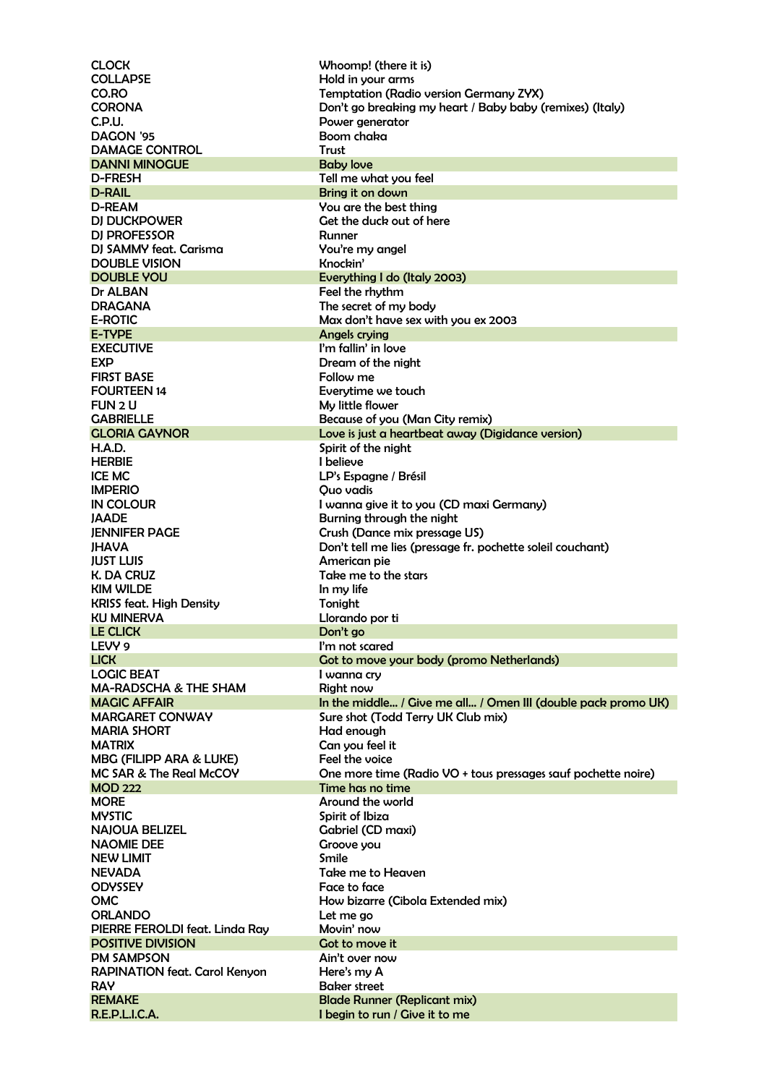CLOCK Whoomp! (there it is) COLLAPSE Hold in your arms CO.RO Temptation (Radio version Germany ZYX) CORONA Don't go breaking my heart / Baby baby (remixes) (Italy) C.P.U. Power generator Boom chaka DAMAGE CONTROL Trust **DANNI MINOGUE**<br>D-FRESH **Baby love**<br>D-FRESH **Tell me** wh Tell me what you feel D-RAIL Bring it on down D-REAM You are the best thing<br>DJ DUCKPOWER Get the duck out of he Get the duck out of here DI PROFESSOR Runner DJ SAMMY feat. Carisma You're my angel DOUBLE VISION Knockin' DOUBLE YOU Everything I do (Italy 2003) Dr ALBAN Feel the rhythm<br>DRAGANA Feel the secret of my The secret of my body E-ROTIC Max don't have sex with you ex 2003 E-TYPE Angels crying I'm fallin' in love EXP Dream of the night FIRST BASE FIRST BASE FOLLOW THE FOLLOW ME FOURTEEN 14 Everytime we touch FUN 2 U GABRIELLE **Because of you (Man City remix)** GLORIA GAYNOR Love is just a heartbeat away (Digidance version) H.A.D. Spirit of the night HERBIE I believe LP's Espagne / Brésil IMPERIO Quo vadis<br>
IN COLOUR I wanna gi I wanna give it to you (CD maxi Germany) JAADE Burning through the night JENNIFER PAGE Crush (Dance mix pressage US) JHAVA Don't tell me lies (pressage fr. pochette soleil couchant) JUST LUIS American pie K. DA CRUZ Take me to the stars KIM WILDE In my life KRISS feat. High Density Tonight KU MINERVA Llorando por ti LE CLICK Don't go LEVY 9 **I'm not scared** LICK Got to move your body (promo Netherlands)<br>
LOGIC BEAT LOGIC BEAT I wanna cry MA-RADSCHA & THE SHAM Right now MAGIC AFFAIR **In the middle...** / Give me all... / Omen III (double pack promo UK) MARGARET CONWAY Sure shot (Todd Terry UK Club mix) MARIA SHORT **Had enough** MATRIX Can you feel it MBG (FILIPP ARA & LUKE) Feel the voice MC SAR & The Real McCOY **One more time (Radio VO + tous pressages sauf pochette noire)** MOD 222 Time has no time MORE Around the world MYSTIC Spirit of Ibiza NAJOUA BELIZEL Gabriel (CD maxi)<br>
NAOMIE DEE GABRIEL GEONE VOLL Groove you NEW LIMIT Smile NEVADA Take me to Heaven Face to face OMC **How bizarre (Cibola Extended mix)** ORLANDO Let me go PIERRE FEROLDI feat. Linda Ray Movin' now **POSITIVE DIVISION Contract SOME SOME** PM SAMPSON Ain't over now RAPINATION feat. Carol Kenyon Here's my A RAY Baker street REMAKE Blade Runner (Replicant mix) I begin to run / Give it to me